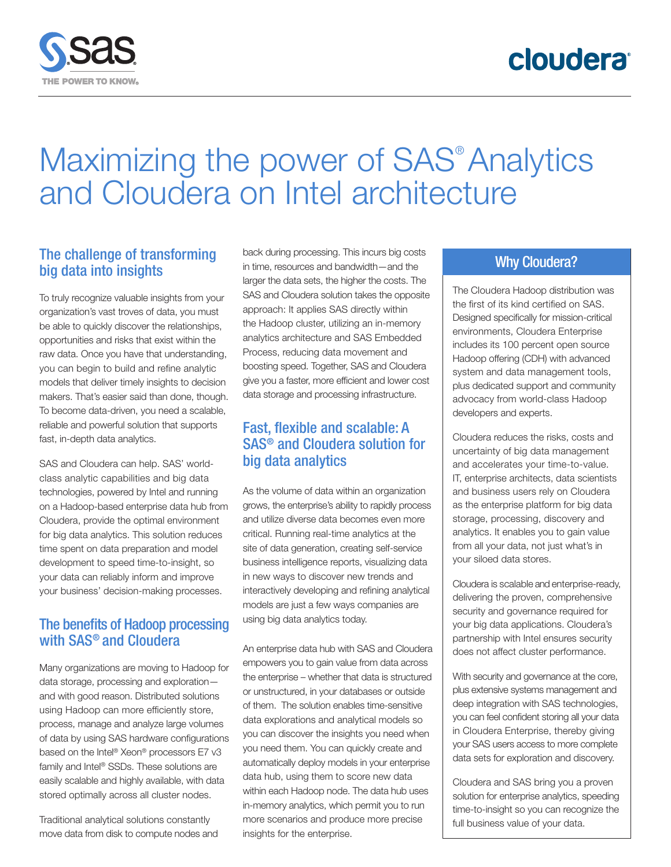

# Maximizing the power of SAS<sup>®</sup> Analytics and Cloudera on Intel architecture

### The challenge of transforming big data into insights

To truly recognize valuable insights from your organization's vast troves of data, you must be able to quickly discover the relationships, opportunities and risks that exist within the raw data. Once you have that understanding, you can begin to build and refine analytic models that deliver timely insights to decision makers. That's easier said than done, though. To become data-driven, you need a scalable, reliable and powerful solution that supports fast, in-depth data analytics.

SAS and Cloudera can help. SAS' worldclass analytic capabilities and big data technologies, powered by Intel and running on a Hadoop-based enterprise data hub from Cloudera, provide the optimal environment for big data analytics. This solution reduces time spent on data preparation and model development to speed time-to-insight, so your data can reliably inform and improve your business' decision-making processes.

# The benefits of Hadoop processing with SAS® and Cloudera

Many organizations are moving to Hadoop for data storage, processing and exploration and with good reason. Distributed solutions using Hadoop can more efficiently store, process, manage and analyze large volumes of data by using SAS hardware configurations based on the Intel® Xeon® processors E7 v3 family and Intel® SSDs. These solutions are easily scalable and highly available, with data stored optimally across all cluster nodes.

Traditional analytical solutions constantly move data from disk to compute nodes and back during processing. This incurs big costs in time, resources and bandwidth—and the larger the data sets, the higher the costs. The SAS and Cloudera solution takes the opposite approach: It applies SAS directly within the Hadoop cluster, utilizing an in-memory analytics architecture and SAS Embedded Process, reducing data movement and boosting speed. Together, SAS and Cloudera give you a faster, more efficient and lower cost data storage and processing infrastructure.

# Fast, flexible and scalable: A SAS® and Cloudera solution for big data analytics

As the volume of data within an organization grows, the enterprise's ability to rapidly process and utilize diverse data becomes even more critical. Running real-time analytics at the site of data generation, creating self-service business intelligence reports, visualizing data in new ways to discover new trends and interactively developing and refining analytical models are just a few ways companies are using big data analytics today.

An enterprise data hub with SAS and Cloudera empowers you to gain value from data across the enterprise – whether that data is structured or unstructured, in your databases or outside of them. The solution enables time-sensitive data explorations and analytical models so you can discover the insights you need when you need them. You can quickly create and automatically deploy models in your enterprise data hub, using them to score new data within each Hadoop node. The data hub uses in-memory analytics, which permit you to run more scenarios and produce more precise insights for the enterprise.

#### Why Cloudera?

The Cloudera Hadoop distribution was the first of its kind certified on SAS. Designed specifically for mission-critical environments, Cloudera Enterprise includes its 100 percent open source Hadoop offering (CDH) with advanced system and data management tools, plus dedicated support and community advocacy from world-class Hadoop developers and experts.

Cloudera reduces the risks, costs and uncertainty of big data management and accelerates your time-to-value. IT, enterprise architects, data scientists and business users rely on Cloudera as the enterprise platform for big data storage, processing, discovery and analytics. It enables you to gain value from all your data, not just what's in your siloed data stores.

Cloudera is scalable and enterprise-ready, delivering the proven, comprehensive security and governance required for your big data applications. Cloudera's partnership with Intel ensures security does not affect cluster performance.

With security and governance at the core, plus extensive systems management and deep integration with SAS technologies, you can feel confident storing all your data in Cloudera Enterprise, thereby giving your SAS users access to more complete data sets for exploration and discovery.

Cloudera and SAS bring you a proven solution for enterprise analytics, speeding time-to-insight so you can recognize the full business value of your data.